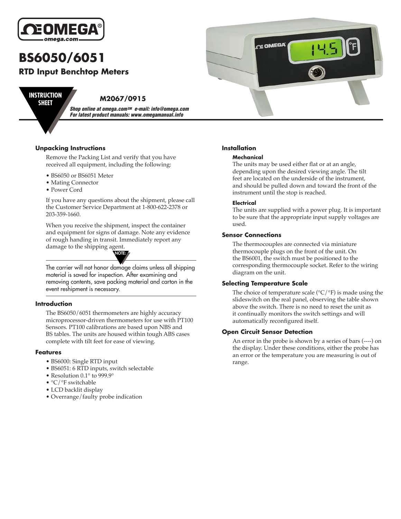

# **BS6050/6051**

## **RTD Input Benchtop Meters**

# **SHEET**

## **M2067/0915 INSTRUCTION**

*Shop online at omega.comSM e-mail: info@omega.com For latest product manuals: www.omegamanual.info*

### **Unpacking Instructions**

Remove the Packing List and verify that you have received all equipment, including the following:

- BS6050 or BS6051 Meter
- Mating Connector
- Power Cord

If you have any questions about the shipment, please call the Customer Service Department at 1-800-622-2378 or 203-359-1660.

When you receive the shipment, inspect the container and equipment for signs of damage. Note any evidence of rough handing in transit. Immediately report any damage to the shipping agent.



The carrier will not honor damage claims unless all shipping material is saved for inspection. After examining and removing contents, save packing material and carton in the event reshipment is necessary.

### **Introduction**

The BS6050/6051 thermometers are highly accuracy microprocessor-driven thermometers for use with PT100 Sensors. PT100 calibrations are based upon NBS and BS tables. The units are housed within tough ABS cases complete with tilt feet for ease of viewing.

### **Features**

- BS6000: Single RTD input
- BS6051: 6 RTD inputs, switch selectable
- Resolution 0.1° to 999.9°
- °C/°F switchable
- LCD backlit display
- Overrange/faulty probe indication

# **GE OMEGA**

### **Installation**

### **Mechanical**

The units may be used either flat or at an angle, depending upon the desired viewing angle. The tilt feet are located on the underside of the instrument, and should be pulled down and toward the front of the instrument until the stop is reached.

### **Electrical**

The units are supplied with a power plug. It is important to be sure that the appropriate input supply voltages are used.

### **Sensor Connections**

The thermocouples are connected via miniature thermocouple plugs on the front of the unit. On the BS6001, the switch must be positioned to the corresponding thermocouple socket. Refer to the wiring diagram on the unit.

### **Selecting Temperature Scale**

The choice of temperature scale ( ${}^{\circ}C/{}^{\circ}F$ ) is made using the slideswitch on the real panel, observing the table shown above the switch. There is no need to reset the unit as it continually monitors the switch settings and will automatically reconfigured itself.

### **Open Circuit Sensor Detection**

An error in the probe is shown by a series of bars (----) on the display. Under these conditions, either the probe has an error or the temperature you are measuring is out of range.